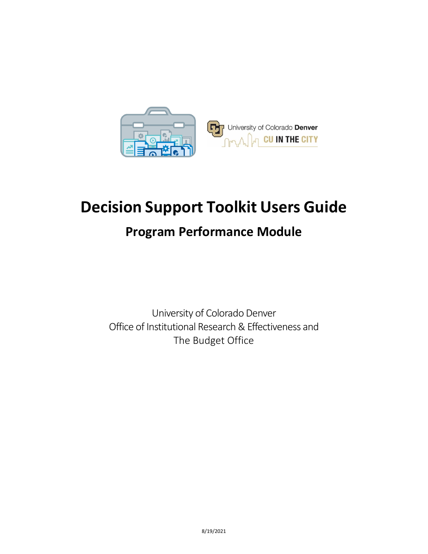

# **Decision Support Toolkit Users Guide**

### **Program Performance Module**

University of Colorado Denver Office of Institutional Research & Effectiveness and The Budget Office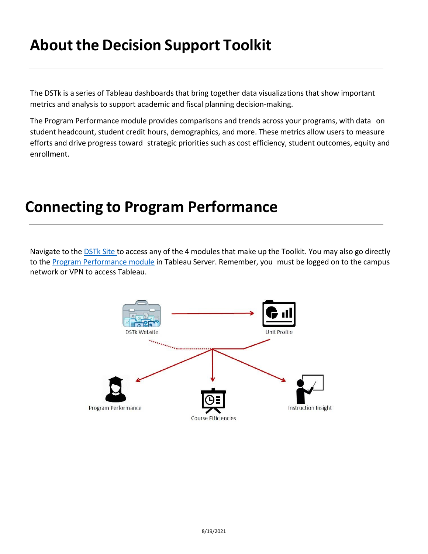## **About the Decision Support Toolkit**

The DSTk is a series of Tableau dashboards that bring together data visualizations that show important metrics and analysis to support academic and fiscal planning decision-making.

The Program Performance module provides comparisons and trends across your programs, with data on student headcount, student credit hours, demographics, and more. These metrics allow users to measure efforts and drive progress toward strategic priorities such as cost efficiency, student outcomes, equity and enrollment.

### **Connecting to Program Performance**

Navigate to the [DSTk](https://www1.ucdenver.edu/offices/institutional-research-and-effectiveness/decision-support-toolkit) Site to access any of the 4 modules that make up the Toolkit. You may also go directly to th[e Program Performance module](https://tableau.ucdenver.edu/#/site/University/views/DSTkProgramPerformance/ProgramPerformance-Level-Set?:iid=1) in Tableau Server. Remember, you must be logged on to the campus network or VPN to access Tableau.

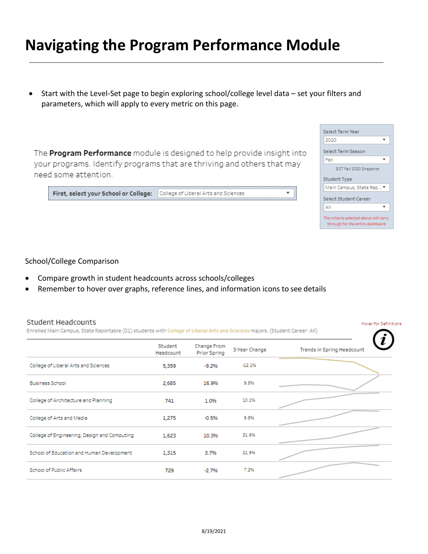### **Navigating the Program Performance Module**

• Start with the Level-Set page to begin exploring school/college level data – set your filters and parameters, which will apply to every metric on this page.

The Program Performance module is designed to help provide insight into your programs. Identify programs that are thriving and others that may need some attention.

| First, select your School or College:   College of Liberal Arts and Sciences |  |  |  |  |  |  |
|------------------------------------------------------------------------------|--|--|--|--|--|--|
|                                                                              |  |  |  |  |  |  |

| Select Term Year                                                                                                                                         |
|----------------------------------------------------------------------------------------------------------------------------------------------------------|
| 2020                                                                                                                                                     |
| Select Term Season                                                                                                                                       |
| Fall                                                                                                                                                     |
| EOT Fall 2020 Snapshot                                                                                                                                   |
| Student Type                                                                                                                                             |
| Main Campus, State Rep… ▼                                                                                                                                |
| Select Student Career                                                                                                                                    |
| AII                                                                                                                                                      |
| The criteria selected above will carry<br>and the compact of the completion of completion of the company of the company of the company of the company of |

#### School/College Comparison

- Compare growth in student headcounts across schools/colleges
- Remember to hover over graphs, reference lines, and information icons to see details

#### Student Headcounts

Enrolled Main Campus, State Reportable (D1) students with College of Liberal Arts and Sciences majors. (Student Career: All)

Hover for Definitions

|                                              | Student<br>Headcount | Change From<br>Prior Spring | 3-Year Change | $\mathcal{L}_{\mathcal{L}}$<br>Trends in Spring Headcount |
|----------------------------------------------|----------------------|-----------------------------|---------------|-----------------------------------------------------------|
| College of Liberal Arts and Sciences         | 5,359                | $-9.2%$                     | $-12.1%$      |                                                           |
| <b>Business School</b>                       | 2,685                | 16.9%                       | 9.5%          |                                                           |
| College of Architecture and Planning         | 741                  | 1.0%                        | 10.1%         |                                                           |
| College of Arts and Media                    | 1,275                | $-0.596$                    | 9.8%          |                                                           |
| College of Engineering, Design and Computing | 1,623                | 10.3%                       | 31.6%         |                                                           |
| School of Education and Human Development    | 1,315                | 3.7%                        | 21.9%         |                                                           |
| School of Public Affairs                     | 729                  | $-2.7%$                     | 7.2%          |                                                           |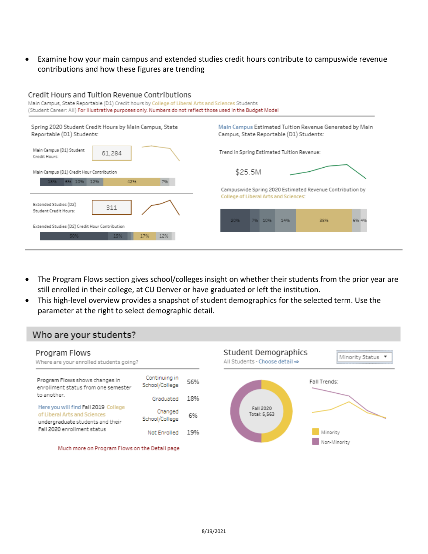• Examine how your main campus and extended studies credit hours contribute to campuswide revenue contributions and how these figures are trending



- The Program Flows section gives school/colleges insight on whether their students from the prior year are still enrolled in their college, at CU Denver or have graduated or left the institution.
- This high-level overview provides a snapshot of student demographics for the selected term. Use the parameter at the right to select demographic detail.

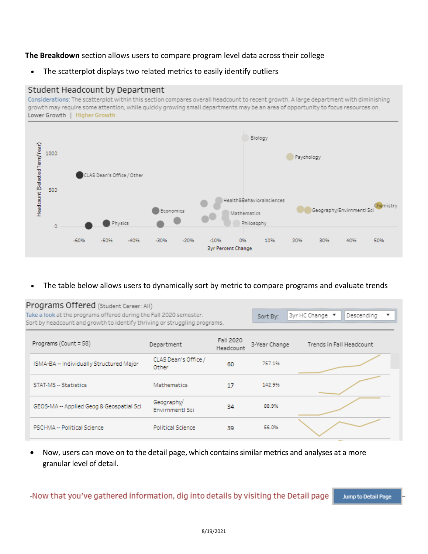### **The Breakdown** section allows users to compare program level data across their college

• The scatterplot displays two related metrics to easily identify outliers

### Student Headcount by Department

Considerations: The scatterplot within this section compares overall headcount to recent growth. A large department with diminishing growth may require some attention, while quickly growing small departments may be an area of opportunity to focus resources on. Lower Growth | Higher Growth



### • The table below allows users to dynamically sort by metric to compare programs and evaluate trends

| Programs Offered (Student Career: All)<br>Take a look at the programs offered during the Fall 2020 semester. |                        | Sort By:                                                                  | 3yr HC Change ▼<br>Descending<br>▼ |
|--------------------------------------------------------------------------------------------------------------|------------------------|---------------------------------------------------------------------------|------------------------------------|
| Department                                                                                                   | Fall 2020<br>Headcount | 3-Year Change                                                             | Trends in Fall Headcount           |
| CLAS Dean's Office/<br>Other                                                                                 | 60                     | 757.1%                                                                    |                                    |
| Mathematics                                                                                                  | 17                     | 142.9%                                                                    |                                    |
| Geography/<br><b>EnvirnmentI Sci</b>                                                                         | 34                     | 88.9%                                                                     |                                    |
| <b>Political Science</b>                                                                                     | 39                     | 56.0%                                                                     |                                    |
|                                                                                                              |                        | Sort by headcount and growth to identify thriving or struggling programs. |                                    |

• Now, users can move on to the detail page, which contains similar metrics and analyses at a more granular level of detail.

-Now that you've gathered information, dig into details by visiting the Detail page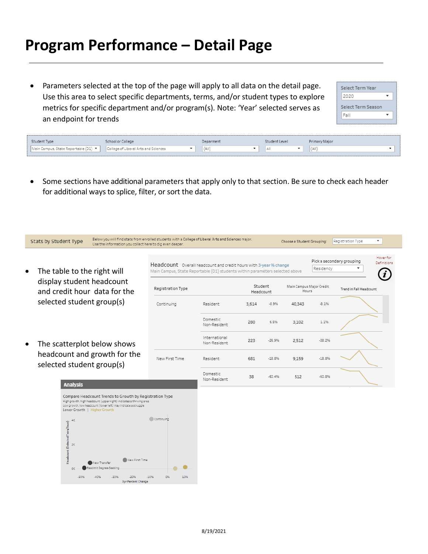## **Program Performance – Detail Page**

• Parameters selected at the top of the page will apply to all data on the detail page. Use this area to select specific departments, terms, and/or student types to explore metrics for specific department and/or program(s). Note: 'Year' selected serves as an endpoint for trends

| Select Term Year   |  |
|--------------------|--|
| 2020               |  |
| Select Term Season |  |
| Fall               |  |
|                    |  |

| Student Type                 | School or College                    | Deparment | Student Level | Primary Major |
|------------------------------|--------------------------------------|-----------|---------------|---------------|
| $\n  the / D 1) 4 1$<br>Main | College of Liberal Arts and Sciences | (A  )     | All           | (All)         |

• Some sections have additional parameters that apply only to that section. Be sure to check each header for additional ways to splice, filter, or sort the data.

| The table to the right will                                                                                                                                                                                                            | Headcount Overall headcount and credit hours with 3-year % change<br>Main Campus, State Reportable (D1) students within parameters selected above |                               |                      |          |                                   | Residency | Hover for<br>Pick a secondary grouping<br>Definitions<br>$\overline{\mathbf{v}}$ |  |
|----------------------------------------------------------------------------------------------------------------------------------------------------------------------------------------------------------------------------------------|---------------------------------------------------------------------------------------------------------------------------------------------------|-------------------------------|----------------------|----------|-----------------------------------|-----------|----------------------------------------------------------------------------------|--|
| display student headcount<br>and credit hour data for the                                                                                                                                                                              | Registration Type                                                                                                                                 |                               | Student<br>Headcount |          | Main Campus Major Credit<br>Hours |           | Trend in Fall Headcount                                                          |  |
| selected student group(s)                                                                                                                                                                                                              | Continuing                                                                                                                                        | Resident                      | 3,614                | $-8.9%$  | 40,343                            | $-8.1%$   |                                                                                  |  |
|                                                                                                                                                                                                                                        |                                                                                                                                                   | Domestic<br>Non-Resident      | 280                  | 6.5%     | 3,102                             | 1.1%      |                                                                                  |  |
| The scatterplot below shows                                                                                                                                                                                                            |                                                                                                                                                   | International<br>Non-Resident | 223                  | $-26.9%$ | 2,512                             | $-38.2%$  |                                                                                  |  |
| headcount and growth for the<br>selected student group(s)                                                                                                                                                                              | New First Time                                                                                                                                    | Resident                      | 681                  | $-18.8%$ | 9,159                             | $-18.8%$  |                                                                                  |  |
| <b>Analysis</b>                                                                                                                                                                                                                        |                                                                                                                                                   | Domestic<br>Non-Resident      | 38                   | $-60.4%$ | 512                               | $-60.8%$  |                                                                                  |  |
| Compare Headcount Trends to Growth by Registration Type<br>High growth, high headcount (upper right) indicates a thriving area<br>Low growth, low headcount (lower left) may indicate a struggle<br>Lower Growth   Higher Growth<br>4K | Continuing                                                                                                                                        |                               |                      |          |                                   |           |                                                                                  |  |
| (Selected Term/Tear)<br>2K<br>Headcount<br>New First Time<br>New Transfer                                                                                                                                                              |                                                                                                                                                   |                               |                      |          |                                   |           |                                                                                  |  |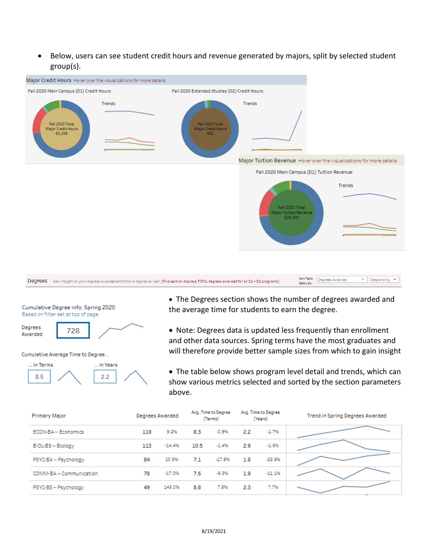• Below, users can see student credit hours and revenue generated by majors, split by selected student group(s).







728

Cumulative Average Time to Degree...



• The Degrees section shows the number of degrees awarded and the average time for students to earn the degree.

• Note: Degrees data is updated less frequently than enrollment and other data sources. Spring terms have the most graduates and will therefore provide better sample sizes from which to gain insight

• The table below shows program level detail and trends, which can show various metrics selected and sorted by the section parameters above.

| Primary Major            |     | Degrees Awarded |      | Avg. Time to Degree<br>(Terms) |     | Avg. Time to Degree<br>(Years) | Trend in Spring Degrees Awarded |
|--------------------------|-----|-----------------|------|--------------------------------|-----|--------------------------------|---------------------------------|
| ECON-BA -- Economics     | 119 | 9.2%            | 8.3  | $-0.9%$                        | 2.2 | $-1.7%$                        |                                 |
| BIOL-BS -- Biology       | 113 | $-14.4%$        | 10.5 | $-1.4%$                        | 2.9 | $-1.6%$                        |                                 |
| PSYC-BA -- Psychology    | 84  | 10.5%           | 7.1  | $-17.8%$                       | 1.8 | $-23.8%$                       |                                 |
| COMM-BA -- Communication | 78  | $-17.0%$        | 7.6  | $-9.3%$                        | 1.9 | $-11.1%$                       |                                 |
| PSYC-BS -- Psychology    | 49  | 145.0%          | 8.8  | 7.8%                           | 2.3 | 7.7%                           |                                 |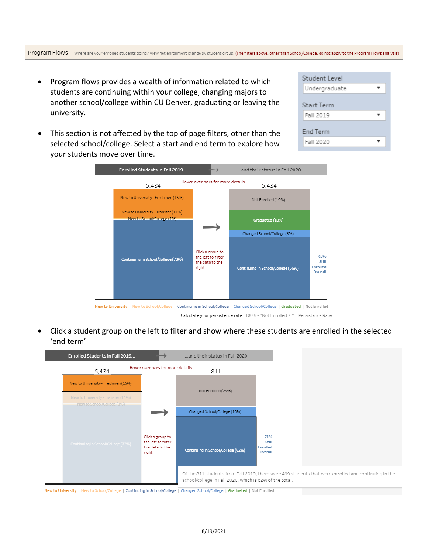#### Program Flows Where are your enrolled students going? View net enrollment change by student group. (The filters above, other than School/College, do not apply to the Program Flows analysis)

- Program flows provides a wealth of information related to which students are continuing within your college, changing majors to another school/college within CU Denver, graduating or leaving the university.
- This section is not affected by the top of page filters, other than the selected school/college. Select a start and end term to explore how your students move over time.
	- Enrolled Students in Fall 2019... ...and their status in Fall 2020 Hover over bars for more details 5.434 5.434 New to University - Freshmen (15%) Not Enrolled (19%) New to University - Transfer (11%) Vew to School/College (196) Graduated (18%) Changed School/College (6%) Click a group to the left to filter 63% Continuing in School/College (73%) the data to the Still Enrolled right Continuing in School/College (56%) Overall

New to University | New to School/College | Continuing in School/College | Changed School/College | Graduated | Not Enrolled

Calculate your persistence rate: 100% - "Not Enrolled %" = Persistence Rate

• Click a student group on the left to filter and show where these students are enrolled in the selected 'end term'

| Enrolled Students in Fall 2019                                                                          | and their status in Fall 2020                                                                                                                                   |                              |  |  |  |
|---------------------------------------------------------------------------------------------------------|-----------------------------------------------------------------------------------------------------------------------------------------------------------------|------------------------------|--|--|--|
| Hover over bars for more details<br>5,434                                                               | 811                                                                                                                                                             |                              |  |  |  |
| New to University - Freshmen (15%)<br>New to University - Transfer (11%)<br>New to School/College (196) | Not Enrolled (29%)                                                                                                                                              |                              |  |  |  |
| Click a group to                                                                                        | Changed School/College (10%)                                                                                                                                    | 71%                          |  |  |  |
| the left to filter<br><b>Continuing in School/College (73%)</b><br>the data to the<br>right             | Continuing in School/College (62%)                                                                                                                              | Still<br>Enrolled<br>Overall |  |  |  |
|                                                                                                         | Of the 811 students from Fall 2019, there were 499 students that were enrolled and continuing in the<br>school/college in Fall 2020, which is 62% of the total. |                              |  |  |  |

New to University | New to School/College | Continuing in School/College | Changed School/College | Graduated | Not Enrolled